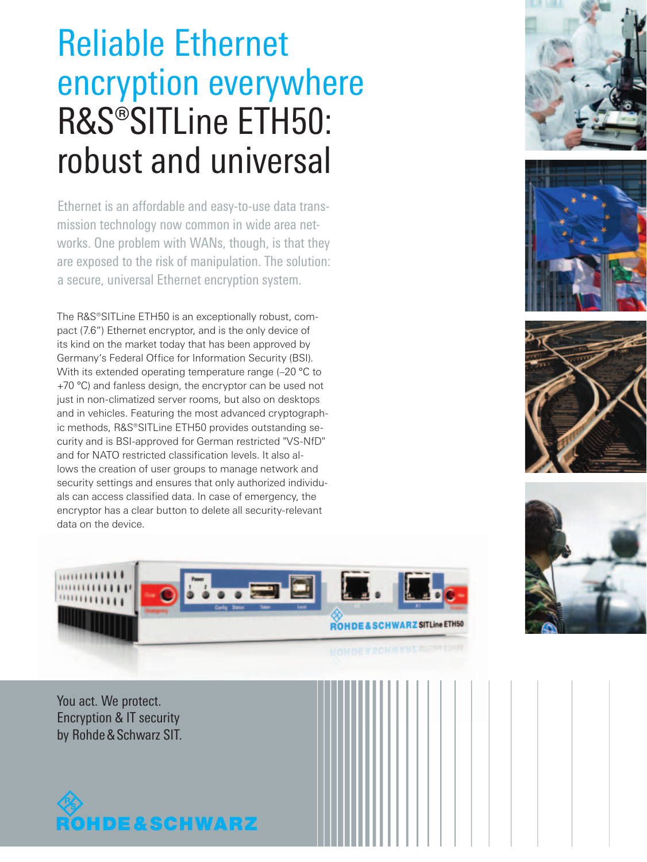# Reliable Ethernet encryption everywhere R&S®SITLine ETH50: robust and universal

Ethernet is an affordable and easy-to-use data transmission technology now common in wide area networks. One problem with WANs, though, is that they are exposed to the risk of manipulation. The solution: a secure, universal Ethernet encryption system.

The R&S®SITLine ETH50 is an exceptionally robust, compact (7.6") Ethernet encryptor, and is the only device of its kind on the market today that has been approved by Germany's Federal Office for Information Security (BSI). With its extended operating temperature range (-20 °C to +70 °C) and fanless design, the encryptor can be used not just in non-climatized server rooms, but also on desktops and in vehicles. Featuring the most advanced cryptographic methods, R&S®SITLine ETH50 provides outstanding security and is BSI-approved for German restricted "VS-NfD" and for NATO restricted classification levels. It also allows the creation of user groups to manage network and security settings and ensures that only authorized individuals can access classified data. In case of emergency, the encryptor has a clear button to delete all security-relevant data on the device.









ROHDE&SCHWARZ SITLine ETH50

You act. We protect. Encryption & IT security by Rohde&Schwarz SIT.